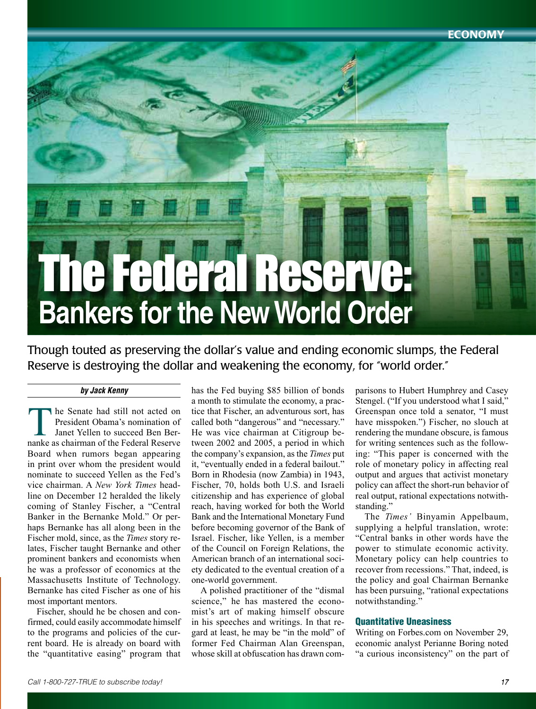Economy

# The Federal Reserve: **Bankers for the New World Order**

Though touted as preserving the dollar's value and ending economic slumps, the Federal Reserve is destroying the dollar and weakening the economy, for "world order."

## *by Jack Kenny*

The Senate had still not acted on<br>
President Obama's nomination of<br>
Janet Yellen to succeed Ben Ber-<br>
nanke as chairman of the Federal Reserve President Obama's nomination of Janet Yellen to succeed Ben Ber-Board when rumors began appearing in print over whom the president would nominate to succeed Yellen as the Fed's vice chairman. A *New York Times* headline on December 12 heralded the likely coming of Stanley Fischer, a "Central Banker in the Bernanke Mold." Or perhaps Bernanke has all along been in the Fischer mold, since, as the *Times* story relates, Fischer taught Bernanke and other prominent bankers and economists when he was a professor of economics at the Massachusetts Institute of Technology. Bernanke has cited Fischer as one of his most important mentors.

Fischer, should he be chosen and confirmed, could easily accommodate himself to the programs and policies of the current board. He is already on board with the "quantitative easing" program that has the Fed buying \$85 billion of bonds a month to stimulate the economy, a practice that Fischer, an adventurous sort, has called both "dangerous" and "necessary." He was vice chairman at Citigroup between 2002 and 2005, a period in which the company's expansion, as the *Times* put it, "eventually ended in a federal bailout." Born in Rhodesia (now Zambia) in 1943, Fischer, 70, holds both U.S. and Israeli citizenship and has experience of global reach, having worked for both the World Bank and the International Monetary Fund before becoming governor of the Bank of Israel. Fischer, like Yellen, is a member of the Council on Foreign Relations, the American branch of an international society dedicated to the eventual creation of a one-world government.

A polished practitioner of the "dismal science," he has mastered the economist's art of making himself obscure in his speeches and writings. In that regard at least, he may be "in the mold" of former Fed Chairman Alan Greenspan, whose skill at obfuscation has drawn comparisons to Hubert Humphrey and Casey Stengel. ("If you understood what I said," Greenspan once told a senator, "I must have misspoken.") Fischer, no slouch at rendering the mundane obscure, is famous for writing sentences such as the following: "This paper is concerned with the role of monetary policy in affecting real output and argues that activist monetary policy can affect the short-run behavior of real output, rational expectations notwithstanding."

The *Times'* Binyamin Appelbaum, supplying a helpful translation, wrote: "Central banks in other words have the power to stimulate economic activity. Monetary policy can help countries to recover from recessions." That, indeed, is the policy and goal Chairman Bernanke has been pursuing, "rational expectations notwithstanding.'

#### Quantitative Uneasiness

Writing on <Forbes.com>on November 29, economic analyst Perianne Boring noted "a curious inconsistency" on the part of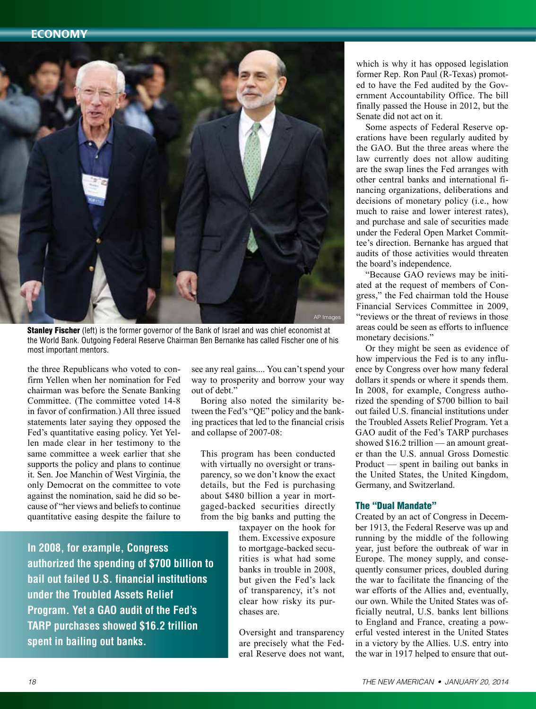

**Stanley Fischer** (left) is the former governor of the Bank of Israel and was chief economist at the World Bank. Outgoing Federal Reserve Chairman Ben Bernanke has called Fischer one of his most important mentors.

the three Republicans who voted to confirm Yellen when her nomination for Fed chairman was before the Senate Banking Committee. (The committee voted 14-8 in favor of confirmation.) All three issued statements later saying they opposed the Fed's quantitative easing policy. Yet Yellen made clear in her testimony to the same committee a week earlier that she supports the policy and plans to continue it. Sen. Joe Manchin of West Virginia, the only Democrat on the committee to vote against the nomination, said he did so because of "her views and beliefs to continue quantitative easing despite the failure to

**In 2008, for example, Congress authorized the spending of \$700 billion to bail out failed U.S. financial institutions under the Troubled Assets Relief Program. Yet a GAO audit of the Fed's TARP purchases showed \$16.2 trillion spent in bailing out banks.**

see any real gains.... You can't spend your way to prosperity and borrow your way out of debt."

Boring also noted the similarity between the Fed's "QE" policy and the banking practices that led to the financial crisis and collapse of 2007-08:

This program has been conducted with virtually no oversight or transparency, so we don't know the exact details, but the Fed is purchasing about \$480 billion a year in mortgaged-backed securities directly from the big banks and putting the

> taxpayer on the hook for them. Excessive exposure to mortgage-backed securities is what had some banks in trouble in 2008, but given the Fed's lack of transparency, it's not clear how risky its purchases are.

Oversight and transparency are precisely what the Federal Reserve does not want,

which is why it has opposed legislation former Rep. Ron Paul (R-Texas) promoted to have the Fed audited by the Government Accountability Office. The bill finally passed the House in 2012, but the Senate did not act on it.

Some aspects of Federal Reserve operations have been regularly audited by the GAO. But the three areas where the law currently does not allow auditing are the swap lines the Fed arranges with other central banks and international financing organizations, deliberations and decisions of monetary policy (i.e., how much to raise and lower interest rates), and purchase and sale of securities made under the Federal Open Market Committee's direction. Bernanke has argued that audits of those activities would threaten the board's independence.

"Because GAO reviews may be initiated at the request of members of Congress," the Fed chairman told the House Financial Services Committee in 2009, "reviews or the threat of reviews in those areas could be seen as efforts to influence monetary decisions."

Or they might be seen as evidence of how impervious the Fed is to any influence by Congress over how many federal dollars it spends or where it spends them. In 2008, for example, Congress authorized the spending of \$700 billion to bail out failed U.S. financial institutions under the Troubled Assets Relief Program. Yet a GAO audit of the Fed's TARP purchases showed \$16.2 trillion — an amount greater than the U.S. annual Gross Domestic Product — spent in bailing out banks in the United States, the United Kingdom, Germany, and Switzerland.

#### The "Dual Mandate"

Created by an act of Congress in December 1913, the Federal Reserve was up and running by the middle of the following year, just before the outbreak of war in Europe. The money supply, and consequently consumer prices, doubled during the war to facilitate the financing of the war efforts of the Allies and, eventually, our own. While the United States was officially neutral, U.S. banks lent billions to England and France, creating a powerful vested interest in the United States in a victory by the Allies. U.S. entry into the war in 1917 helped to ensure that out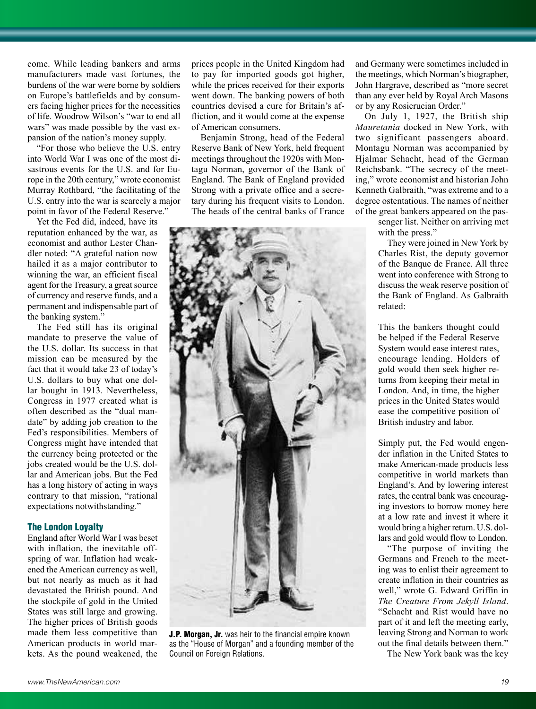come. While leading bankers and arms manufacturers made vast fortunes, the burdens of the war were borne by soldiers on Europe's battlefields and by consumers facing higher prices for the necessities of life. Woodrow Wilson's "war to end all wars" was made possible by the vast expansion of the nation's money supply.

"For those who believe the U.S. entry into World War I was one of the most disastrous events for the U.S. and for Europe in the 20th century," wrote economist Murray Rothbard, "the facilitating of the U.S. entry into the war is scarcely a major point in favor of the Federal Reserve."

Yet the Fed did, indeed, have its reputation enhanced by the war, as economist and author Lester Chandler noted: "A grateful nation now hailed it as a major contributor to winning the war, an efficient fiscal agent for the Treasury, a great source of currency and reserve funds, and a permanent and indispensable part of the banking system."

The Fed still has its original mandate to preserve the value of the U.S. dollar. Its success in that mission can be measured by the fact that it would take 23 of today's U.S. dollars to buy what one dollar bought in 1913. Nevertheless, Congress in 1977 created what is often described as the "dual mandate" by adding job creation to the Fed's responsibilities. Members of Congress might have intended that the currency being protected or the jobs created would be the U.S. dollar and American jobs. But the Fed has a long history of acting in ways contrary to that mission, "rational expectations notwithstanding."

## The London Loyalty

England after World War I was beset with inflation, the inevitable offspring of war. Inflation had weakened the American currency as well, but not nearly as much as it had devastated the British pound. And the stockpile of gold in the United States was still large and growing. The higher prices of British goods made them less competitive than American products in world markets. As the pound weakened, the prices people in the United Kingdom had to pay for imported goods got higher, while the prices received for their exports went down. The banking powers of both countries devised a cure for Britain's affliction, and it would come at the expense of American consumers.

Benjamin Strong, head of the Federal Reserve Bank of New York, held frequent meetings throughout the 1920s with Montagu Norman, governor of the Bank of England. The Bank of England provided Strong with a private office and a secretary during his frequent visits to London. The heads of the central banks of France



J.P. Morgan, Jr. was heir to the financial empire known as the "House of Morgan" and a founding member of the Council on Foreign Relations.

and Germany were sometimes included in the meetings, which Norman's biographer, John Hargrave, described as "more secret than any ever held by Royal Arch Masons or by any Rosicrucian Order."

On July 1, 1927, the British ship *Mauretania* docked in New York, with two significant passengers aboard. Montagu Norman was accompanied by Hjalmar Schacht, head of the German Reichsbank. "The secrecy of the meeting," wrote economist and historian John Kenneth Galbraith, "was extreme and to a degree ostentatious. The names of neither of the great bankers appeared on the pas-

> senger list. Neither on arriving met with the press."

They were joined in New York by Charles Rist, the deputy governor of the Banque de France. All three went into conference with Strong to discuss the weak reserve position of the Bank of England. As Galbraith related:

This the bankers thought could be helped if the Federal Reserve System would ease interest rates, encourage lending. Holders of gold would then seek higher returns from keeping their metal in London. And, in time, the higher prices in the United States would ease the competitive position of British industry and labor.

Simply put, the Fed would engender inflation in the United States to make American-made products less competitive in world markets than England's. And by lowering interest rates, the central bank was encouraging investors to borrow money here at a low rate and invest it where it would bring a higher return. U.S. dollars and gold would flow to London.

"The purpose of inviting the Germans and French to the meeting was to enlist their agreement to create inflation in their countries as well," wrote G. Edward Griffin in *The Creature From Jekyll Island*. "Schacht and Rist would have no part of it and left the meeting early, leaving Strong and Norman to work out the final details between them."

The New York bank was the key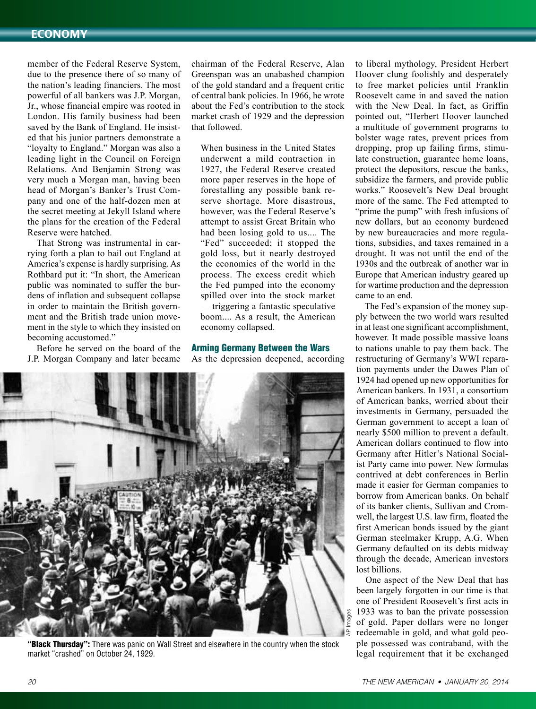# Economy

member of the Federal Reserve System, due to the presence there of so many of the nation's leading financiers. The most powerful of all bankers was J.P. Morgan, Jr., whose financial empire was rooted in London. His family business had been saved by the Bank of England. He insisted that his junior partners demonstrate a "loyalty to England." Morgan was also a leading light in the Council on Foreign Relations. And Benjamin Strong was very much a Morgan man, having been head of Morgan's Banker's Trust Company and one of the half-dozen men at the secret meeting at Jekyll Island where the plans for the creation of the Federal Reserve were hatched.

That Strong was instrumental in carrying forth a plan to bail out England at America's expense is hardly surprising. As Rothbard put it: "In short, the American public was nominated to suffer the burdens of inflation and subsequent collapse in order to maintain the British government and the British trade union movement in the style to which they insisted on becoming accustomed."

Before he served on the board of the J.P. Morgan Company and later became chairman of the Federal Reserve, Alan Greenspan was an unabashed champion of the gold standard and a frequent critic of central bank policies. In 1966, he wrote about the Fed's contribution to the stock market crash of 1929 and the depression that followed.

When business in the United States underwent a mild contraction in 1927, the Federal Reserve created more paper reserves in the hope of forestalling any possible bank reserve shortage. More disastrous, however, was the Federal Reserve's attempt to assist Great Britain who had been losing gold to us.... The "Fed" succeeded; it stopped the gold loss, but it nearly destroyed the economies of the world in the process. The excess credit which the Fed pumped into the economy spilled over into the stock market — triggering a fantastic speculative boom.... As a result, the American economy collapsed.

## Arming Germany Between the Wars As the depression deepened, according



"Black Thursday": There was panic on Wall Street and elsewhere in the country when the stock market "crashed" on October 24, 1929.

to liberal mythology, President Herbert Hoover clung foolishly and desperately to free market policies until Franklin Roosevelt came in and saved the nation with the New Deal. In fact, as Griffin pointed out, "Herbert Hoover launched a multitude of government programs to bolster wage rates, prevent prices from dropping, prop up failing firms, stimulate construction, guarantee home loans, protect the depositors, rescue the banks, subsidize the farmers, and provide public works." Roosevelt's New Deal brought more of the same. The Fed attempted to "prime the pump" with fresh infusions of new dollars, but an economy burdened by new bureaucracies and more regulations, subsidies, and taxes remained in a drought. It was not until the end of the 1930s and the outbreak of another war in Europe that American industry geared up for wartime production and the depression came to an end.

The Fed's expansion of the money supply between the two world wars resulted in at least one significant accomplishment, however. It made possible massive loans to nations unable to pay them back. The restructuring of Germany's WWI reparation payments under the Dawes Plan of 1924 had opened up new opportunities for American bankers. In 1931, a consortium of American banks, worried about their investments in Germany, persuaded the German government to accept a loan of nearly \$500 million to prevent a default. American dollars continued to flow into Germany after Hitler's National Socialist Party came into power. New formulas contrived at debt conferences in Berlin made it easier for German companies to borrow from American banks. On behalf of its banker clients, Sullivan and Cromwell, the largest U.S. law firm, floated the first American bonds issued by the giant German steelmaker Krupp, A.G. When Germany defaulted on its debts midway through the decade, American investors lost billions.

One aspect of the New Deal that has been largely forgotten in our time is that one of President Roosevelt's first acts in 1933 was to ban the private possession of gold. Paper dollars were no longer redeemable in gold, and what gold people possessed was contraband, with the legal requirement that it be exchanged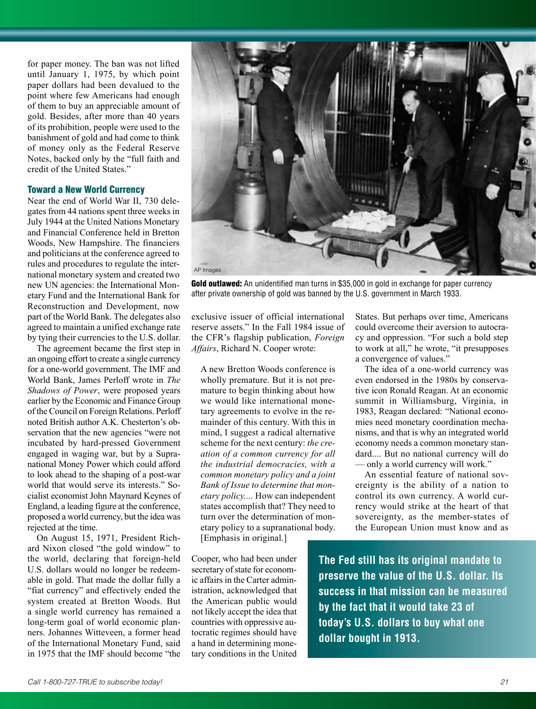for paper money. The ban was not lifted until January 1, 1975, by which point paper dollars had been devalued to the point where few Americans had enough of them to buy an appreciable amount of gold. Besides, after more than 40 years of its prohibition, people were used to the banishment of gold and had come to think of money only as the Federal Reserve Notes, backed only by the "full faith and credit of the United States."

#### Toward a New World Currency

Near the end of World War II, 730 delegates from 44 nations spent three weeks in July 1944 at the United Nations Monetary and Financial Conference held in Bretton Woods, New Hampshire. The financiers and politicians at the conference agreed to rules and procedures to regulate the international monetary system and created two new UN agencies: the International Monetary Fund and the International Bank for Reconstruction and Development, now part of the World Bank. The delegates also agreed to maintain a unified exchange rate by tying their currencies to the U.S. dollar.

The agreement became the first step in an ongoing effort to create a single currency for a one-world government. The IMF and World Bank, James Perloff wrote in *The Shadows of Power*, were proposed years earlier by the Economic and Finance Group of the Council on Foreign Relations. Perloff noted British author A.K. Chesterton's observation that the new agencies "were not incubated by hard-pressed Government engaged in waging war, but by a Supranational Money Power which could afford to look ahead to the shaping of a post-war world that would serve its interests." Socialist economist John Maynard Keynes of England, a leading figure at the conference, proposed a world currency, but the idea was rejected at the time.

On August 15, 1971, President Richard Nixon closed "the gold window" to the world, declaring that foreign-held U.S. dollars would no longer be redeemable in gold. That made the dollar fully a "fiat currency" and effectively ended the system created at Bretton Woods. But a single world currency has remained a long-term goal of world economic planners. Johannes Witteveen, a former head of the International Monetary Fund, said in 1975 that the IMF should become "the



Gold outlawed: An unidentified man turns in \$35,000 in gold in exchange for paper currency after private ownership of gold was banned by the U.S. government in March 1933.

exclusive issuer of official international reserve assets." In the Fall 1984 issue of the CFR's flagship publication, *Foreign Affairs*, Richard N. Cooper wrote:

A new Bretton Woods conference is wholly premature. But it is not premature to begin thinking about how we would like international monetary agreements to evolve in the remainder of this century. With this in mind, I suggest a radical alternative scheme for the next century: *the creation of a common currency for all the industrial democracies, with a common monetary policy and a joint Bank of Issue to determine that monetary policy....* How can independent states accomplish that? They need to turn over the determination of monetary policy to a supranational body.

[Emphasis in original.]

Cooper, who had been under secretary of state for economic affairs in the Carter administration, acknowledged that the American public would not likely accept the idea that countries with oppressive autocratic regimes should have a hand in determining monetary conditions in the United States. But perhaps over time, Americans could overcome their aversion to autocracy and oppression. "For such a bold step to work at all," he wrote, "it presupposes a convergence of values."

The idea of a one-world currency was even endorsed in the 1980s by conservative icon Ronald Reagan. At an economic summit in Williamsburg, Virginia, in 1983, Reagan declared: "National economies need monetary coordination mechanisms, and that is why an integrated world economy needs a common monetary standard.... But no national currency will do — only a world currency will work."

An essential feature of national sovereignty is the ability of a nation to control its own currency. A world currency would strike at the heart of that sovereignty, as the member-states of the European Union must know and as

**The Fed still has its original mandate to preserve the value of the U.S. dollar. Its success in that mission can be measured by the fact that it would take 23 of today's U.S. dollars to buy what one dollar bought in 1913.**